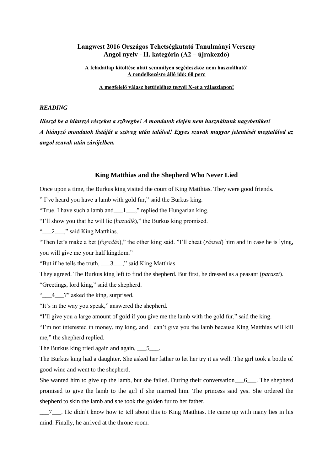## **Langwest 2016 Országos Tehetségkutató Tanulmányi Verseny Angol nyelv - II. kategória (A2 – újrakezdő)**

**A feladatlap kitöltése alatt semmilyen segédeszköz nem használható! A rendelkezésre álló idő: 60 perc** 

**A megfelelő válasz betűjeléhez tegyél X-et a válaszlapon!** 

#### *READING*

*Illeszd be a hiányzó részeket a szövegbe! A mondatok elején nem használtunk nagybetűket! A hiányzó mondatok listáját a szöveg után találod! Egyes szavak magyar jelentését megtalálod az angol szavak után zárójelben.*

#### **King Matthias and the Shepherd Who Never Lied**

Once upon a time, the Burkus king visited the court of King Matthias. They were good friends.

" I've heard you have a lamb with gold fur," said the Burkus king.

"True. I have such a lamb and  $\qquad 1 \qquad$ ," replied the Hungarian king.

"I'll show you that he will lie (*hazudik*)," the Burkus king promised.

 $\degree$   $\degree$   $\degree$  2  $\degree$   $\degree$  said King Matthias.

"Then let's make a bet (*fogadás*)," the other king said. "I'll cheat (*rászed*) him and in case he is lying, you will give me your half kingdom."

"But if he tells the truth,  $\frac{3}{2}$ ," said King Matthias

They agreed. The Burkus king left to find the shepherd. But first, he dressed as a peasant (*paraszt*).

"Greetings, lord king," said the shepherd.

"<sup>4</sup> ?" asked the king, surprised.

"It's in the way you speak," answered the shepherd.

"I'll give you a large amount of gold if you give me the lamb with the gold fur," said the king.

"I'm not interested in money, my king, and I can't give you the lamb because King Matthias will kill me," the shepherd replied.

The Burkus king tried again and again, 5\_\_\_.

The Burkus king had a daughter. She asked her father to let her try it as well. The girl took a bottle of good wine and went to the shepherd.

She wanted him to give up the lamb, but she failed. During their conversation  $\qquad 6$ . The shepherd promised to give the lamb to the girl if she married him. The princess said yes. She ordered the shepherd to skin the lamb and she took the golden fur to her father.

\_\_\_7\_\_\_. He didn't know how to tell about this to King Matthias. He came up with many lies in his mind. Finally, he arrived at the throne room.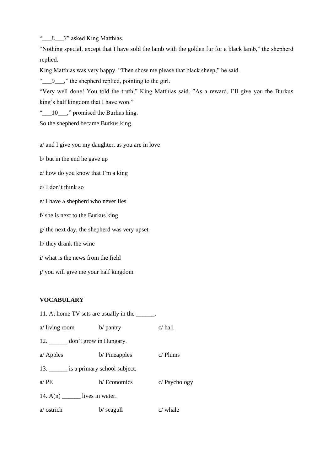"<sup>-8</sup> 8<sup>-2</sup>" asked King Matthias.

"Nothing special, except that I have sold the lamb with the golden fur for a black lamb," the shepherd replied.

King Matthias was very happy. "Then show me please that black sheep," he said.

" $\qquadq$ , the shepherd replied, pointing to the girl.

"Very well done! You told the truth," King Matthias said. "As a reward, I'll give you the Burkus king's half kingdom that I have won."

"<sup>-10</sup><sub>1</sub> momised the Burkus king.

So the shepherd became Burkus king.

a/ and I give you my daughter, as you are in love

b/ but in the end he gave up

c/ how do you know that I'm a king

d/ I don't think so

e/ I have a shepherd who never lies

f/ she is next to the Burkus king

g/ the next day, the shepherd was very upset

h/ they drank the wine

i/ what is the news from the field

j/ you will give me your half kingdom

#### **VOCABULARY**

| 11. At home TV sets are usually in the ______. |              |                 |  |
|------------------------------------------------|--------------|-----------------|--|
| $a$ / living room                              | b/ pantry    | $c/$ hall       |  |
| 12. don't grow in Hungary.                     |              |                 |  |
| $a$ Apples                                     | b/Pineapples | $c/$ Plums      |  |
| 13. _______ is a primary school subject.       |              |                 |  |
| a/PE                                           | b/Economics  | $c/$ Psychology |  |
| 14. $A(n)$ lives in water.                     |              |                 |  |
| a/ ostrich                                     | $b/$ seagull | $c$ whale       |  |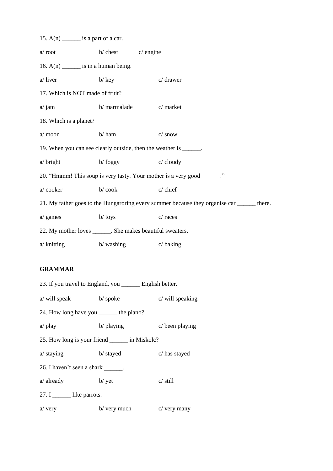| 15. $A(n)$ _______ is a part of a car.                     |                        |                                                                                            |
|------------------------------------------------------------|------------------------|--------------------------------------------------------------------------------------------|
| $a$ root                                                   | $b/$ chest $c/$ engine |                                                                                            |
| 16. $A(n)$ _______ is in a human being.                    |                        |                                                                                            |
| a/liver                                                    | $b/$ key               | c/ drawer                                                                                  |
| 17. Which is NOT made of fruit?                            |                        |                                                                                            |
| $a/\gamma$ jam                                             |                        | b/ marmalade c/ market                                                                     |
| 18. Which is a planet?                                     |                        |                                                                                            |
| a/moon                                                     | b/ham                  | $c/$ snow                                                                                  |
|                                                            |                        | 19. When you can see clearly outside, then the weather is ______.                          |
| $a/\text{bright}$                                          | $\mathbf{b}$ foggy     | $c$ cloudy                                                                                 |
|                                                            |                        | 20. "Hmmm! This soup is very tasty. Your mother is a very good ______."                    |
| a/cooker                                                   | $b / \cosh$            | $c$ chief                                                                                  |
|                                                            |                        | 21. My father goes to the Hungaroring every summer because they organise car ______ there. |
| $a$ games                                                  | $b /$ toys             | c/ races                                                                                   |
| 22. My mother loves _______. She makes beautiful sweaters. |                        |                                                                                            |
| $a$ / knitting                                             | $b$ washing            | $c/\sqrt{b}$ aking                                                                         |

#### **GRAMMAR**

23. If you travel to England, you \_\_\_\_\_\_ English better. a/ will speak b/ spoke c/ will speaking 24. How long have you \_\_\_\_\_\_ the piano? a/ play b/ playing c/ been playing 25. How long is your friend \_\_\_\_\_\_ in Miskolc? a/ staying b/ stayed c/ has stayed 26. I haven't seen a shark \_\_\_\_\_\_. a/ already b/ yet c/ still 27. I like parrots. a/ very b/ very much c/ very many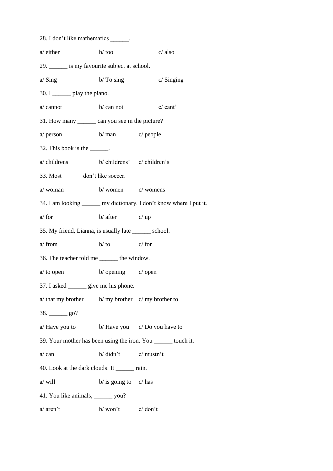| 28. I don't like mathematics ______.                   |                                           |                                                                      |
|--------------------------------------------------------|-------------------------------------------|----------------------------------------------------------------------|
| a/ either                                              | $b/$ too                                  | $c/$ also                                                            |
| 29. _______ is my favourite subject at school.         |                                           |                                                                      |
| $a/$ Sing                                              | $b/To$ sing                               | $c/$ Singing                                                         |
| 30. I _______ play the piano.                          |                                           |                                                                      |
| $b/\text{can not}$<br>a/ cannot                        |                                           | c/cant'                                                              |
| 31. How many _______ can you see in the picture?       |                                           |                                                                      |
| $a$ person                                             | b/ man c/ people                          |                                                                      |
| 32. This book is the ______.                           |                                           |                                                                      |
| a/ childrens                                           | b/ childrens' c/ children's               |                                                                      |
| 33. Most _______ don't like soccer.                    |                                           |                                                                      |
| a/ woman                                               | $b$ /women $c$ /womens                    |                                                                      |
|                                                        |                                           | 34. I am looking _______ my dictionary. I don't know where I put it. |
| $a$ for                                                | $b/$ after $c/$ up                        |                                                                      |
| 35. My friend, Lianna, is usually late _______ school. |                                           |                                                                      |
| a/ from                                                | $b/$ to                                   | $c/$ for                                                             |
| 36. The teacher told me _______ the window.            |                                           |                                                                      |
| $a$ to open                                            | $b/$ opening $c/$ open                    |                                                                      |
| 37. I asked ________ give me his phone.                |                                           |                                                                      |
| $a$ that my brother b/ my brother c/ my brother to     |                                           |                                                                      |
| $38. \_\_\_\_$ go?                                     |                                           |                                                                      |
| $a/$ Have you to b/ Have you c/ Do you have to         |                                           |                                                                      |
|                                                        |                                           | 39. Your mother has been using the iron. You _______ touch it.       |
| a/can                                                  | $b / \text{ didn't}$ $c / \text{mustn't}$ |                                                                      |
| 40. Look at the dark clouds! It _______ rain.          |                                           |                                                                      |
| a/ will                                                | $b/$ is going to $c/$ has                 |                                                                      |
| 41. You like animals, ________ you?                    |                                           |                                                                      |
| a/ aren't                                              | $b/$ won't $c/$ don't                     |                                                                      |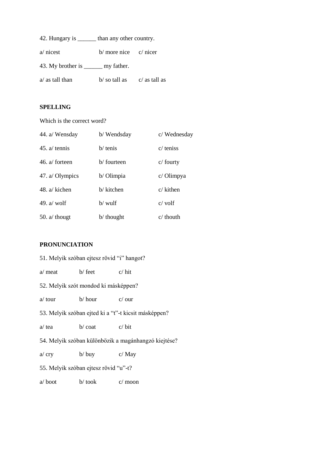|                                       | than any other country.   |                 |  |
|---------------------------------------|---------------------------|-----------------|--|
| $a$ nicest                            | $b/$ more nice $c/$ nicer |                 |  |
| 43. My brother is ________ my father. |                           |                 |  |
| a/ as tall than                       | b/so tall as              | $c/$ as tall as |  |

## **SPELLING**

Which is the correct word?

| 44. a/ Wensday        | b/Wendsday | c/Wednesday  |
|-----------------------|------------|--------------|
| 45. $a$ tennis        | $b/$ tenis | $c$ teniss   |
| 46. $a$ forteen       | b/fourteen | $c/$ fourty  |
| 47. a/ Olympics       | b/ Olimpia | $c/O$ limpya |
| 48. $a/\text{kichen}$ | b/ kitchen | $c/$ kithen  |
| 49. $a$ wolf          | $b/$ wulf  | $c$ volf     |
| 50. $a$ though        | b/ thought | $c$ thouth   |

## **PRONUNCIATION**

| 51. Melyik szóban ejtesz rövid "i" hangot?           |                      |                |
|------------------------------------------------------|----------------------|----------------|
| a/ meat                                              | $b/$ feet            | $c/\text{hit}$ |
| 52. Melyik szót mondod ki másképpen?                 |                      |                |
| $a$ tour                                             | b/ hour              | $c/\alpha$ our |
| 53. Melyik szóban ejted ki a "t"-t kicsit másképpen? |                      |                |
| a/ tea                                               | $b/c$ oat            | $c/\text{bit}$ |
| 54. Melyik szóban különbözik a magánhangzó kiejtése? |                      |                |
| a/cry                                                | $b/\text{buy}$ c/May |                |
| 55. Melyik szóban ejtesz rövid "u"-t?                |                      |                |
| a/boot                                               | b/took               | $c/$ moon      |